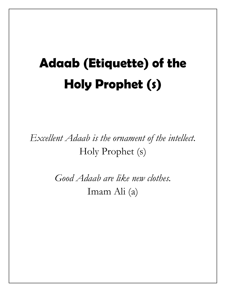# **Adaab (Etiquette) of the Holy Prophet (s)**

*Excellent Adaab is the ornament of the intellect.* Holy Prophet (s)

> *Good Adaab are like new clothes.* Imam Ali (a)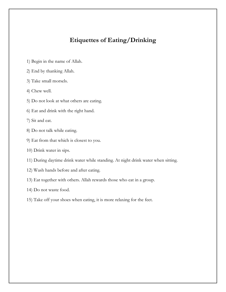## **Etiquettes of Eating/Drinking**

- 1) Begin in the name of Allah.
- 2) End by thanking Allah.
- 3) Take small morsels.
- 4) Chew well.
- 5) Do not look at what others are eating.
- 6) Eat and drink with the right hand.
- 7) Sit and eat.
- 8) Do not talk while eating.
- 9) Eat from that which is closest to you.
- 10) Drink water in sips.
- 11) During daytime drink water while standing. At night drink water when sitting.
- 12) Wash hands before and after eating.
- 13) Eat together with others. Allah rewards those who eat in a group.
- 14) Do not waste food.
- 15) Take off your shoes when eating, it is more relaxing for the feet.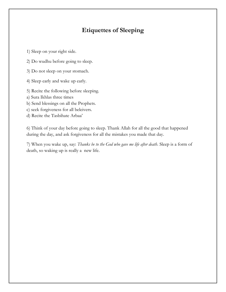# **Etiquettes of Sleeping**

1) Sleep on your right side.

2) Do wudhu before going to sleep.

3) Do not sleep on your stomach.

4) Sleep early and wake up early.

5) Recite the following before sleeping.

a) Sura Ikhlas three times

- b) Send blessings on all the Prophets.
- c) seek forgiveness for all beleivers.
- d) Recite the Tasbihate Arbaa'

6) Think of your day before going to sleep. Thank Allah for all the good that happened during the day, and ask forgiveness for all the mistakes you made that day.

7) When you wake up, say: *Thanks be to the God who gave me life after death*. Sleep is a form of death, so waking up is really a new life.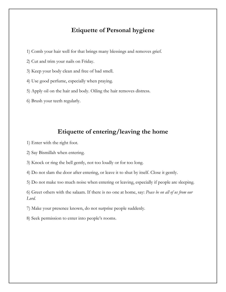#### **Etiquette of Personal hygiene**

- 1) Comb your hair well for that brings many blessings and removes grief.
- 2) Cut and trim your nails on Friday.
- 3) Keep your body clean and free of bad smell.
- 4) Use good perfume, especially when praying.
- 5) Apply oil on the hair and body. Oiling the hair removes distress.
- 6) Brush your teeth regularly.

#### **Etiquette of entering/leaving the home**

- 1) Enter with the right foot.
- 2) Say Bismillah when entering.
- 3) Knock or ring the bell gently, not too loudly or for too long.
- 4) Do not slam the door after entering, or leave it to shut by itself. Close it gently.
- 5) Do not make too much noise when entering or leaving, especially if people are sleeping.

6) Greet others with the salaam. If there is no one at home, say: *Peace be on all of us from our Lord.*

7) Make your presence known, do not surprise people suddenly.

8) Seek permission to enter into people's rooms.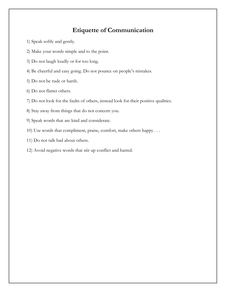## **Etiquette of Communication**

- 1) Speak softly and gently.
- 2) Make your words simple and to the point.
- 3) Do not laugh loudly or for too long.
- 4) Be cheerful and easy going. Do not pounce on people's mistakes.
- 5) Do not be rude or harsh.
- 6) Do not flatter others.
- 7) Do not look for the faults of others, instead look for their positive qualities.
- 8) Stay away from things that do not concern you.
- 9) Speak words that are kind and considerate.
- 10) Use words that compliment, praise, comfort, make others happy . . .
- 11) Do not talk bad about others.
- 12) Avoid negative words that stir up conflict and hatred.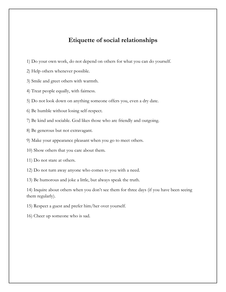### **Etiquette of social relationships**

- 1) Do your own work, do not depend on others for what you can do yourself.
- 2) Help others whenever possible.
- 3) Smile and greet others with warmth.
- 4) Treat people equally, with fairness.
- 5) Do not look down on anything someone offers you, even a dry date.
- 6) Be humble without losing self-respect.
- 7) Be kind and sociable. God likes those who are friendly and outgoing.
- 8) Be generous but not extravagant.
- 9) Make your appearance pleasant when you go to meet others.
- 10) Show others that you care about them.
- 11) Do not stare at others.
- 12) Do not turn away anyone who comes to you with a need.
- 13) Be humorous and joke a little, but always speak the truth.

14) Inquire about others when you don't see them for three days (if you have been seeing them regularly).

- 15) Respect a guest and prefer him/her over yourself.
- 16) Cheer up someone who is sad.